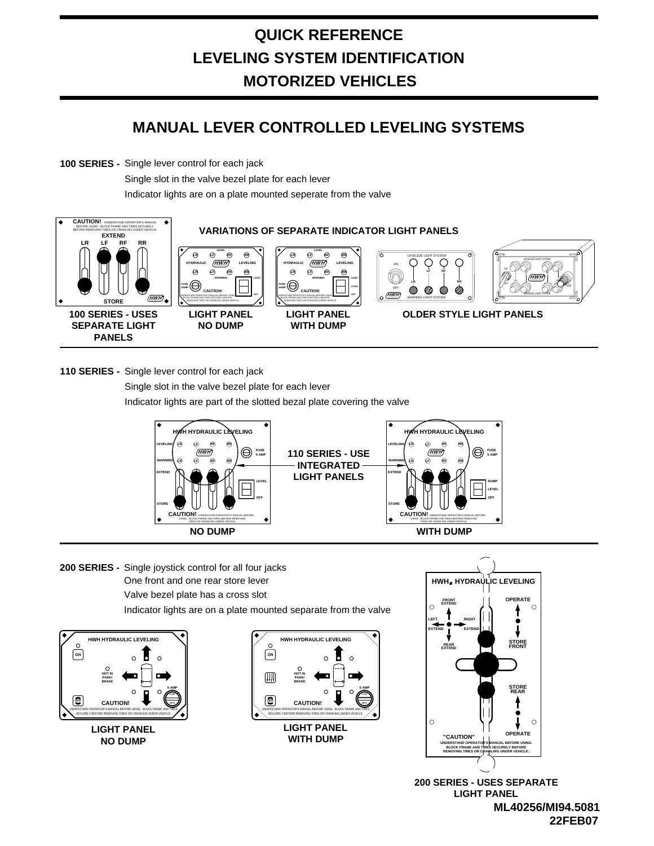## **MANUAL LEVER CONTROLLED LEVELING SYSTEMS**

**100 SERIES -** Single lever control for each jack

Single slot in the valve bezel plate for each lever

Indicator lights are on a plate mounted seperate from the valve



**110 SERIES -** Single lever control for each jack

Indicator lights are part of the slotted bezal plate covering the valve Single slot in the valve bezel plate for each lever



One front and one rear store lever **200 SERIES -** Single joystick control for all four jacks Valve bezel plate has a cross slot Indicator lights are on a plate mounted separate from the valve







**22FEB07 ML40256/MI94.5081 200 SERIES - USES SEPARATE LIGHT PANEL**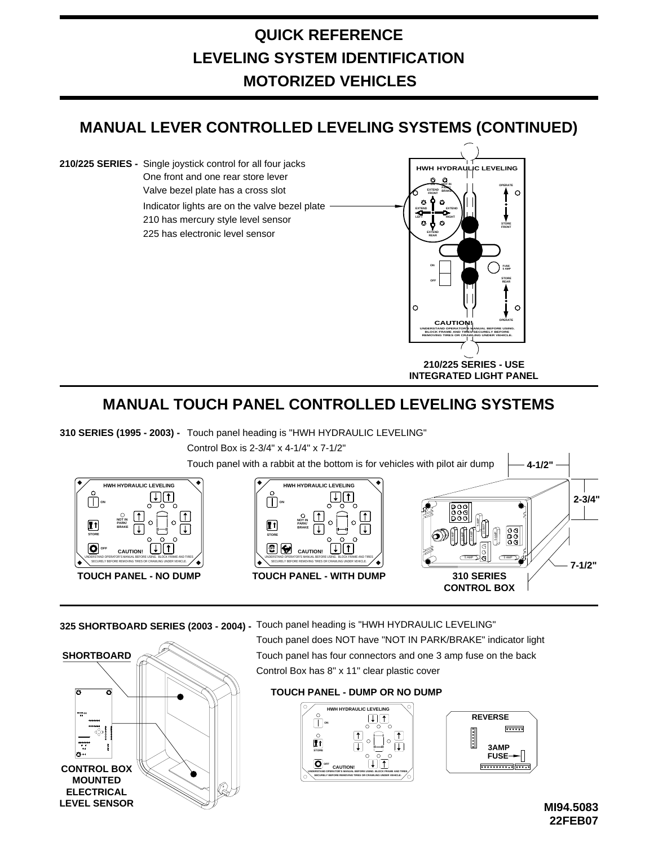## **MANUAL LEVER CONTROLLED LEVELING SYSTEMS (CONTINUED)**

Indicator lights are on the valve bezel plate Valve bezel plate has a cross slot **210/225 SERIES** - Single joystick control for all four jacks **The Example 210/225 SERIES** - Single joystick control for all four jacks One front and one rear store lever 210 has mercury style level sensor 225 has electronic level sensor



**INTEGRATED LIGHT PANEL**

## **MANUAL TOUCH PANEL CONTROLLED LEVELING SYSTEMS**

**310 SERIES (1995 - 2003) -** Touch panel heading is "HWH HYDRAULIC LEVELING"



**325 SHORTBOARD SERIES (2003 - 2004) -** Touch panel heading is "HWH HYDRAULIC LEVELING"



Touch panel does NOT have "NOT IN PARK/BRAKE" indicator light Touch panel has four connectors and one 3 amp fuse on the back Control Box has 8" x 11" clear plastic cover

#### **TOUCH PANEL - DUMP OR NO DUMP**



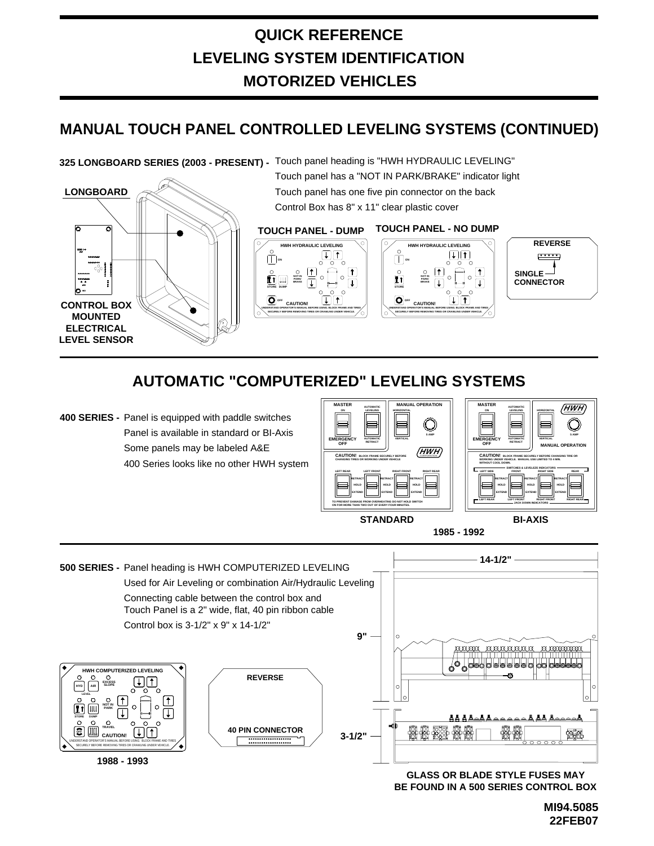### **MANUAL TOUCH PANEL CONTROLLED LEVELING SYSTEMS (CONTINUED)**

#### **325 LONGBOARD SERIES (2003 - PRESENT) -** Touch panel heading is "HWH HYDRAULIC LEVELING"



Touch panel has a "NOT IN PARK/BRAKE" indicator light Touch panel has one five pin connector on the back Control Box has 8" x 11" clear plastic cover

#### **TOUCH PANEL - DUMP TOUCH PANEL - NO DUMP**







## **AUTOMATIC "COMPUTERIZED" LEVELING SYSTEMS**

**400 SERIES -** Panel is equipped with paddle switches Panel is available in standard or BI-Axis Some panels may be labeled A&E 400 Series looks like no other HWH system



**1985 - 1992**



**BE FOUND IN A 500 SERIES CONTROL BOX GLASS OR BLADE STYLE FUSES MAY**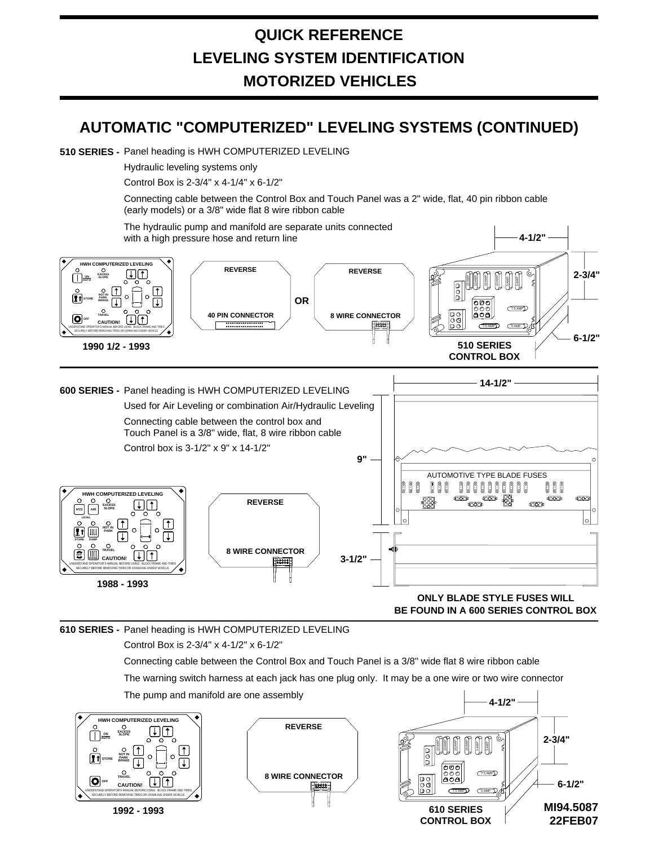#### **AUTOMATIC "COMPUTERIZED" LEVELING SYSTEMS (CONTINUED)**

#### 510 **SERIES -** Panel heading is HWH COMPUTERIZED LEVELING

Hydraulic leveling systems only

Control Box is 2-3/4" x 4-1/4" x 6-1/2"

Connecting cable between the Control Box and Touch Panel was a 2" wide, flat, 40 pin ribbon cable (early models) or a 3/8" wide flat 8 wire ribbon cable

The hydraulic pump and manifold are separate units connected with a high pressure hose and return line **4-1/2"** 4-1/2"



**BE FOUND IN A 600 SERIES CONTROL BOX**

Control Box is 2-3/4" x 4-1/2" x 6-1/2" **610 SERIES -** Panel heading is HWH COMPUTERIZED LEVELING

> The warning switch harness at each jack has one plug only. It may be a one wire or two wire connector Connecting cable between the Control Box and Touch Panel is a 3/8" wide flat 8 wire ribbon cable The pump and manifold are one assembly

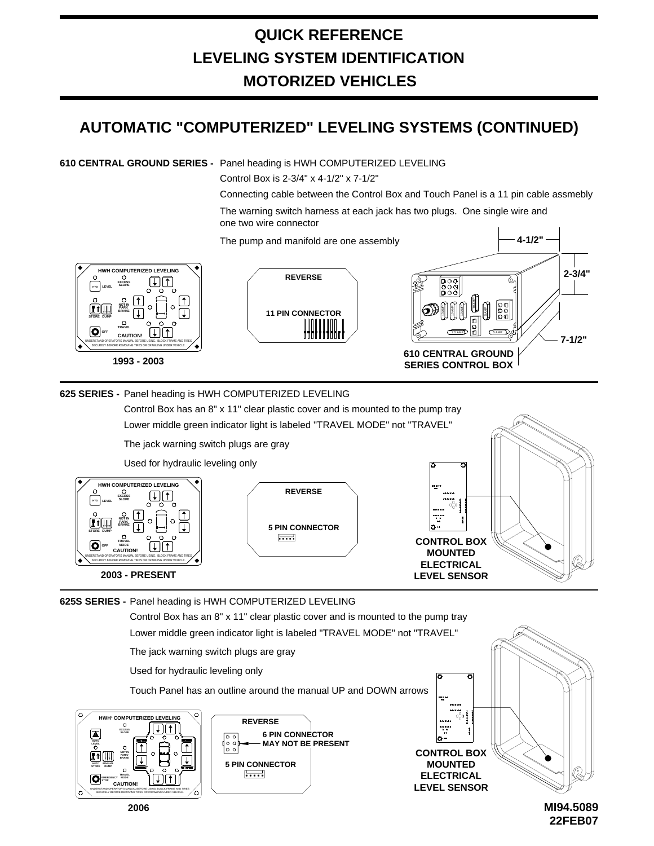## **AUTOMATIC "COMPUTERIZED" LEVELING SYSTEMS (CONTINUED)**

**610 CENTRAL GROUND SERIES -** Panel heading is HWH COMPUTERIZED LEVELING

Control Box is 2-3/4" x 4-1/2" x 7-1/2"

Connecting cable between the Control Box and Touch Panel is a 11 pin cable assmebly The warning switch harness at each jack has two plugs. One single wire and one two wire connector

**4-1/2"**

The pump and manifold are one assembly



#### **625 SERIES -** Panel heading is HWH COMPUTERIZED LEVELING

Lower middle green indicator light is labeled "TRAVEL MODE" not "TRAVEL" Control Box has an 8" x 11" clear plastic cover and is mounted to the pump tray

The jack warning switch plugs are gray

Used for hydraulic leveling only



**625S SERIES -** Panel heading is HWH COMPUTERIZED LEVELING



**22FEB07 MI94.5089**